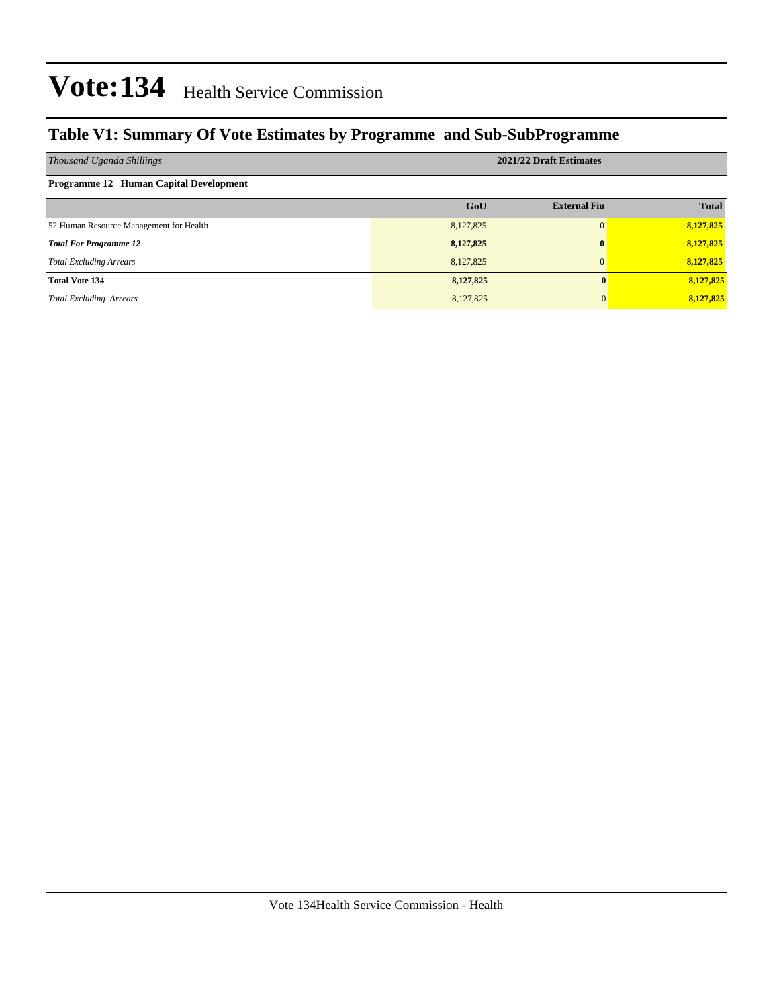### **Table V1: Summary Of Vote Estimates by Programme and Sub-SubProgramme**

| Thousand Uganda Shillings                     | 2021/22 Draft Estimates |                     |              |  |  |  |  |  |
|-----------------------------------------------|-------------------------|---------------------|--------------|--|--|--|--|--|
| <b>Programme 12 Human Capital Development</b> |                         |                     |              |  |  |  |  |  |
|                                               | GoU                     | <b>External Fin</b> | <b>Total</b> |  |  |  |  |  |
| 52 Human Resource Management for Health       | 8,127,825               | $\Omega$            | 8,127,825    |  |  |  |  |  |
| <b>Total For Programme 12</b>                 | 8,127,825               | $\mathbf{0}$        | 8,127,825    |  |  |  |  |  |
| <b>Total Excluding Arrears</b>                | 8,127,825               | $\Omega$            | 8,127,825    |  |  |  |  |  |
| <b>Total Vote 134</b>                         | 8,127,825               |                     | 8,127,825    |  |  |  |  |  |
| <b>Total Excluding Arrears</b>                | 8,127,825               |                     | 8,127,825    |  |  |  |  |  |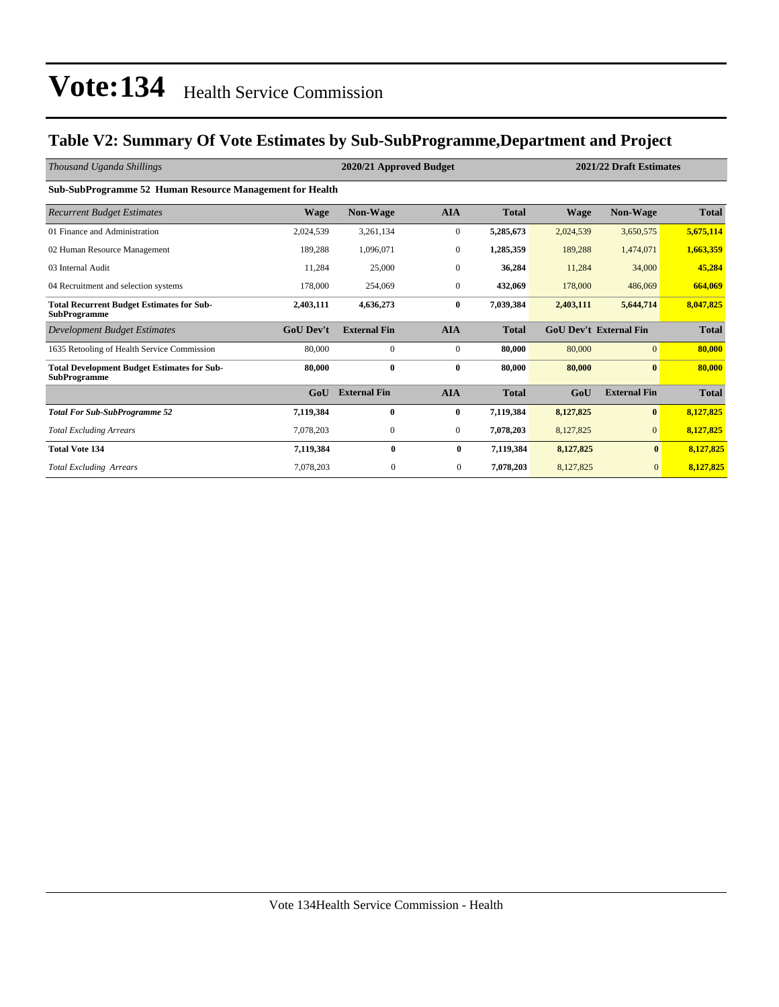### **Table V2: Summary Of Vote Estimates by Sub-SubProgramme,Department and Project**

| Thousand Uganda Shillings                                                 |                  | 2020/21 Approved Budget |                  | 2021/22 Draft Estimates |             |                               |              |  |  |  |  |
|---------------------------------------------------------------------------|------------------|-------------------------|------------------|-------------------------|-------------|-------------------------------|--------------|--|--|--|--|
| Sub-SubProgramme 52 Human Resource Management for Health                  |                  |                         |                  |                         |             |                               |              |  |  |  |  |
| <b>Recurrent Budget Estimates</b>                                         | <b>Wage</b>      | <b>Non-Wage</b>         | <b>AIA</b>       | <b>Total</b>            | <b>Wage</b> | <b>Non-Wage</b>               | <b>Total</b> |  |  |  |  |
| 01 Finance and Administration                                             | 2,024,539        | 3,261,134               | $\boldsymbol{0}$ | 5,285,673               | 2,024,539   | 3,650,575                     | 5,675,114    |  |  |  |  |
| 02 Human Resource Management                                              | 189,288          | 1,096,071               | $\bf{0}$         | 1,285,359               | 189,288     | 1,474,071                     | 1,663,359    |  |  |  |  |
| 03 Internal Audit                                                         | 11,284           | 25,000                  | $\mathbf{0}$     | 36,284                  | 11,284      | 34,000                        | 45,284       |  |  |  |  |
| 04 Recruitment and selection systems                                      | 178,000          | 254,069                 | $\mathbf{0}$     | 432,069                 | 178,000     | 486,069                       | 664,069      |  |  |  |  |
| <b>Total Recurrent Budget Estimates for Sub-</b><br><b>SubProgramme</b>   | 2,403,111        | 4,636,273               | $\bf{0}$         | 7,039,384               | 2,403,111   | 5,644,714                     | 8,047,825    |  |  |  |  |
| Development Budget Estimates                                              | <b>GoU</b> Dev't | <b>External Fin</b>     | <b>AIA</b>       | <b>Total</b>            |             | <b>GoU Dev't External Fin</b> | <b>Total</b> |  |  |  |  |
| 1635 Retooling of Health Service Commission                               | 80,000           | $\mathbf{0}$            | $\bf{0}$         | 80,000                  | 80,000      | $\overline{0}$                | 80,000       |  |  |  |  |
| <b>Total Development Budget Estimates for Sub-</b><br><b>SubProgramme</b> | 80,000           | $\bf{0}$                | $\bf{0}$         | 80,000                  | 80,000      | $\boldsymbol{0}$              | 80,000       |  |  |  |  |
|                                                                           | GoU              | <b>External Fin</b>     | <b>AIA</b>       | <b>Total</b>            | GoU         | <b>External Fin</b>           | <b>Total</b> |  |  |  |  |
| <b>Total For Sub-SubProgramme 52</b>                                      | 7,119,384        | $\bf{0}$                | $\bf{0}$         | 7,119,384               | 8,127,825   | $\bf{0}$                      | 8,127,825    |  |  |  |  |
| <b>Total Excluding Arrears</b>                                            | 7,078,203        | $\mathbf{0}$            | $\overline{0}$   | 7,078,203               | 8,127,825   | $\overline{0}$                | 8,127,825    |  |  |  |  |
| <b>Total Vote 134</b>                                                     | 7,119,384        | $\bf{0}$                | $\bf{0}$         | 7,119,384               | 8,127,825   | $\bf{0}$                      | 8,127,825    |  |  |  |  |
| <b>Total Excluding Arrears</b>                                            | 7,078,203        | $\mathbf{0}$            | $\mathbf{0}$     | 7,078,203               | 8,127,825   | $\mathbf{0}$                  | 8,127,825    |  |  |  |  |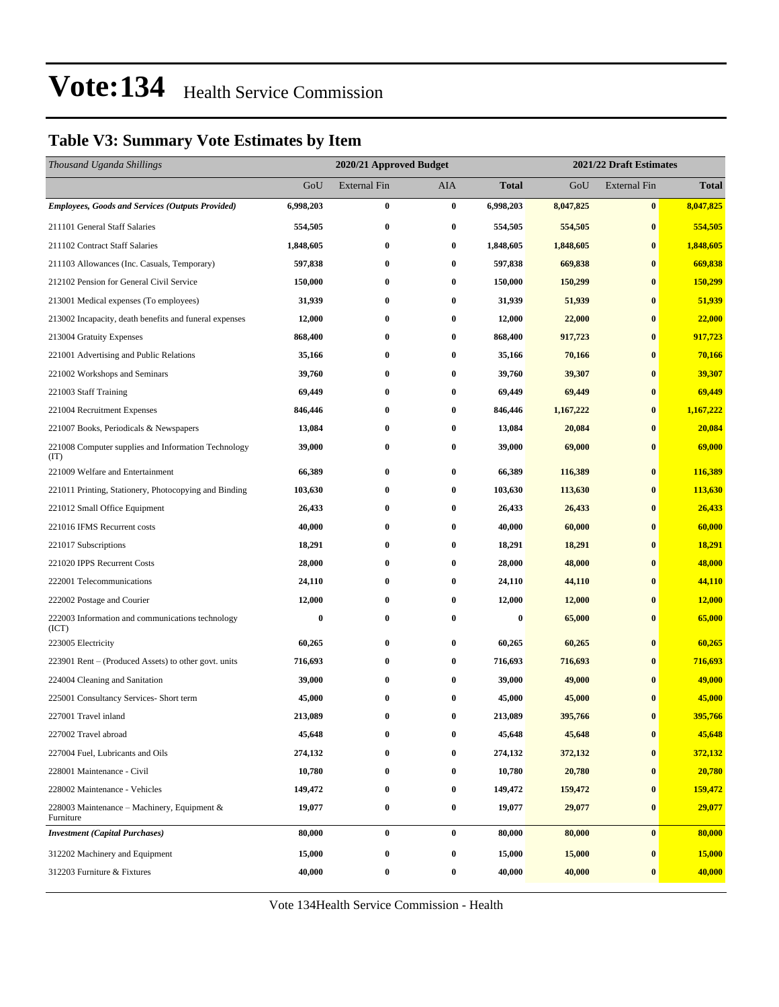### **Table V3: Summary Vote Estimates by Item**

| Thousand Uganda Shillings                                   |           | 2020/21 Approved Budget |                  |                  |           | 2021/22 Draft Estimates |              |  |  |
|-------------------------------------------------------------|-----------|-------------------------|------------------|------------------|-----------|-------------------------|--------------|--|--|
|                                                             | GoU       | <b>External Fin</b>     | AIA              | <b>Total</b>     | GoU       | <b>External Fin</b>     | <b>Total</b> |  |  |
| <b>Employees, Goods and Services (Outputs Provided)</b>     | 6,998,203 | $\bf{0}$                | $\bf{0}$         | 6,998,203        | 8,047,825 | $\pmb{0}$               | 8,047,825    |  |  |
| 211101 General Staff Salaries                               | 554,505   | $\bf{0}$                | $\bf{0}$         | 554,505          | 554,505   | $\bf{0}$                | 554,505      |  |  |
| 211102 Contract Staff Salaries                              | 1,848,605 | $\bf{0}$                | $\bf{0}$         | 1,848,605        | 1,848,605 | $\bf{0}$                | 1,848,605    |  |  |
| 211103 Allowances (Inc. Casuals, Temporary)                 | 597,838   | $\bf{0}$                | $\bf{0}$         | 597,838          | 669,838   | $\bf{0}$                | 669,838      |  |  |
| 212102 Pension for General Civil Service                    | 150,000   | $\bf{0}$                | $\bf{0}$         | 150,000          | 150,299   | $\bf{0}$                | 150,299      |  |  |
| 213001 Medical expenses (To employees)                      | 31,939    | $\bf{0}$                | $\bf{0}$         | 31,939           | 51,939    | $\bf{0}$                | 51,939       |  |  |
| 213002 Incapacity, death benefits and funeral expenses      | 12,000    | $\bf{0}$                | $\bf{0}$         | 12,000           | 22,000    | $\bf{0}$                | 22,000       |  |  |
| 213004 Gratuity Expenses                                    | 868,400   | $\bf{0}$                | $\bf{0}$         | 868,400          | 917,723   | $\bf{0}$                | 917,723      |  |  |
| 221001 Advertising and Public Relations                     | 35,166    | $\bf{0}$                | $\bf{0}$         | 35,166           | 70,166    | $\bf{0}$                | 70,166       |  |  |
| 221002 Workshops and Seminars                               | 39,760    | $\bf{0}$                | $\bf{0}$         | 39,760           | 39,307    | $\bf{0}$                | 39,307       |  |  |
| 221003 Staff Training                                       | 69,449    | $\bf{0}$                | $\bf{0}$         | 69,449           | 69,449    | $\bf{0}$                | 69,449       |  |  |
| 221004 Recruitment Expenses                                 | 846,446   | $\bf{0}$                | 0                | 846,446          | 1,167,222 | $\bf{0}$                | 1,167,222    |  |  |
| 221007 Books, Periodicals & Newspapers                      | 13,084    | $\bf{0}$                | $\bf{0}$         | 13,084           | 20,084    | $\bf{0}$                | 20,084       |  |  |
| 221008 Computer supplies and Information Technology<br>(TT) | 39,000    | $\bf{0}$                | $\bf{0}$         | 39,000           | 69,000    | $\bf{0}$                | 69,000       |  |  |
| 221009 Welfare and Entertainment                            | 66,389    | $\bf{0}$                | $\bf{0}$         | 66,389           | 116,389   | $\bf{0}$                | 116,389      |  |  |
| 221011 Printing, Stationery, Photocopying and Binding       | 103,630   | $\bf{0}$                | 0                | 103,630          | 113,630   | $\bf{0}$                | 113,630      |  |  |
| 221012 Small Office Equipment                               | 26,433    | $\bf{0}$                | $\bf{0}$         | 26,433           | 26,433    | $\bf{0}$                | 26,433       |  |  |
| 221016 IFMS Recurrent costs                                 | 40,000    | $\bf{0}$                | 0                | 40,000           | 60,000    | $\bf{0}$                | 60,000       |  |  |
| 221017 Subscriptions                                        | 18,291    | $\bf{0}$                | $\bf{0}$         | 18,291           | 18,291    | $\bf{0}$                | 18,291       |  |  |
| 221020 IPPS Recurrent Costs                                 | 28,000    | $\bf{0}$                | $\bf{0}$         | 28,000           | 48,000    | $\bf{0}$                | 48,000       |  |  |
| 222001 Telecommunications                                   | 24,110    | $\bf{0}$                | 0                | 24,110           | 44,110    | $\bf{0}$                | 44,110       |  |  |
| 222002 Postage and Courier                                  | 12,000    | $\bf{0}$                | $\bf{0}$         | 12,000           | 12,000    | $\bf{0}$                | 12,000       |  |  |
| 222003 Information and communications technology<br>(ICT)   | $\bf{0}$  | $\bf{0}$                | $\bf{0}$         | $\boldsymbol{0}$ | 65,000    | $\bf{0}$                | 65,000       |  |  |
| 223005 Electricity                                          | 60,265    | $\bf{0}$                | $\bf{0}$         | 60,265           | 60,265    | $\bf{0}$                | 60,265       |  |  |
| 223901 Rent – (Produced Assets) to other govt. units        | 716,693   | $\bf{0}$                | 0                | 716,693          | 716,693   | $\bf{0}$                | 716,693      |  |  |
| 224004 Cleaning and Sanitation                              | 39,000    | $\bf{0}$                | $\bf{0}$         | 39,000           | 49,000    | $\bf{0}$                | 49,000       |  |  |
| 225001 Consultancy Services- Short term                     | 45,000    | $\bf{0}$                | $\bf{0}$         | 45,000           | 45,000    | $\mathbf{0}$            | 45,000       |  |  |
| 227001 Travel inland                                        | 213,089   | $\bf{0}$                | $\bf{0}$         | 213,089          | 395,766   | $\bf{0}$                | 395,766      |  |  |
| 227002 Travel abroad                                        | 45,648    | $\bf{0}$                | $\bf{0}$         | 45,648           | 45,648    | $\bf{0}$                | 45,648       |  |  |
| 227004 Fuel, Lubricants and Oils                            | 274,132   | $\bf{0}$                | 0                | 274,132          | 372,132   | $\bf{0}$                | 372,132      |  |  |
| 228001 Maintenance - Civil                                  | 10,780    | $\bf{0}$                | $\boldsymbol{0}$ | 10,780           | 20,780    | $\bf{0}$                | 20,780       |  |  |
| 228002 Maintenance - Vehicles                               | 149,472   | $\bf{0}$                | $\bf{0}$         | 149,472          | 159,472   | $\bf{0}$                | 159,472      |  |  |
| 228003 Maintenance – Machinery, Equipment $\&$<br>Furniture | 19,077    | $\pmb{0}$               | $\bf{0}$         | 19,077           | 29,077    | $\bf{0}$                | 29,077       |  |  |
| <b>Investment</b> (Capital Purchases)                       | 80,000    | $\bf{0}$                | $\bf{0}$         | 80,000           | 80,000    | $\bf{0}$                | 80,000       |  |  |
| 312202 Machinery and Equipment                              | 15,000    | $\bf{0}$                | $\bf{0}$         | 15,000           | 15,000    | $\bf{0}$                | 15,000       |  |  |
| 312203 Furniture & Fixtures                                 | 40,000    | $\bf{0}$                | $\boldsymbol{0}$ | 40,000           | 40,000    | $\bf{0}$                | 40,000       |  |  |

Vote 134Health Service Commission - Health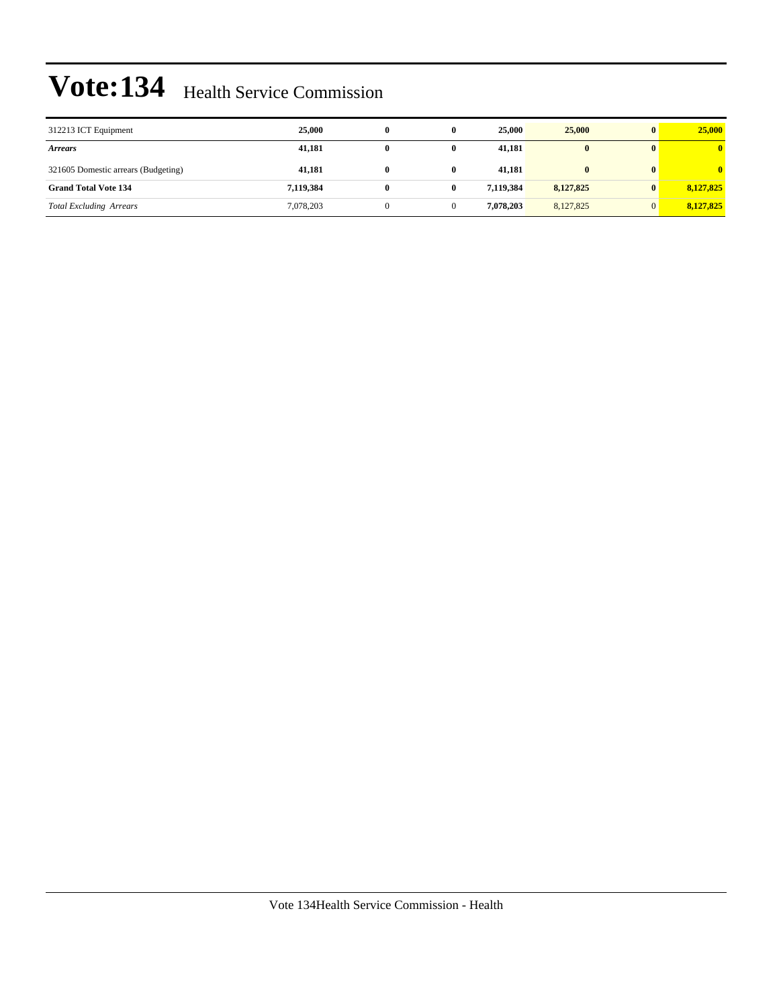| 312213 ICT Equipment                | 25,000    | 0 | 25,000    | 25,000       | 25,000    |
|-------------------------------------|-----------|---|-----------|--------------|-----------|
| <b>Arrears</b>                      | 41,181    | 0 | 41,181    | $\bf{0}$     |           |
| 321605 Domestic arrears (Budgeting) | 41,181    | 0 | 41,181    | $\mathbf{0}$ |           |
| <b>Grand Total Vote 134</b>         | 7,119,384 | 0 | 7.119.384 | 8,127,825    | 8,127,825 |
| <b>Total Excluding Arrears</b>      | 7,078,203 |   | 7.078.203 | 8,127,825    | 8,127,825 |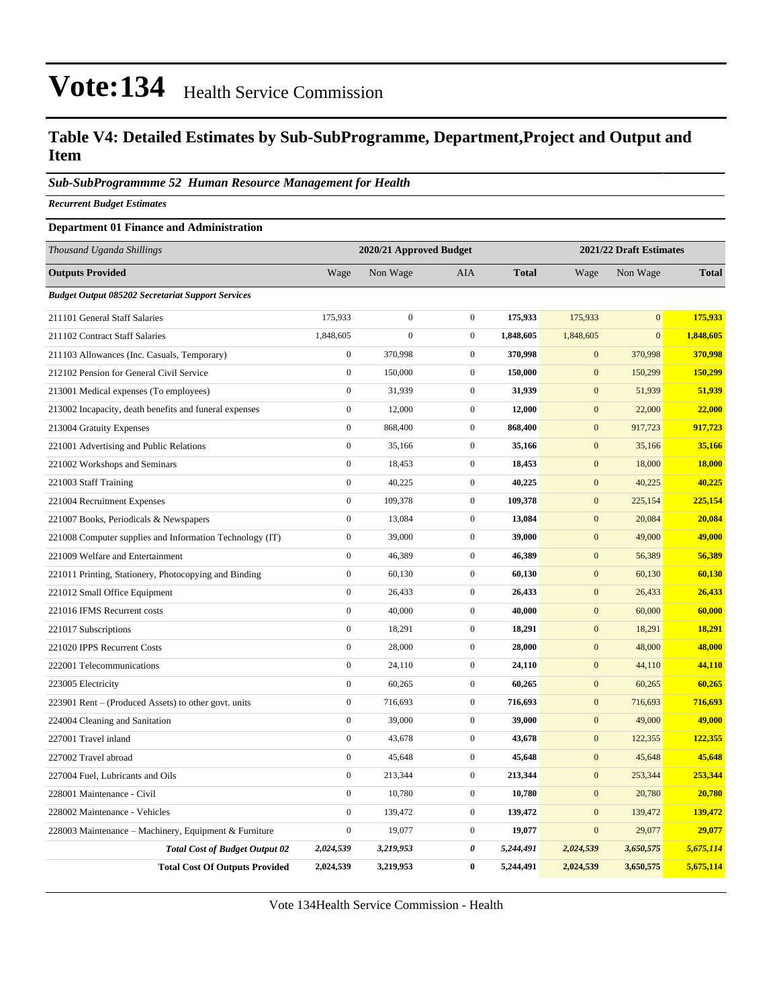### **Table V4: Detailed Estimates by Sub-SubProgramme, Department,Project and Output and Item**

#### *Sub-SubProgrammme 52 Human Resource Management for Health*

*Recurrent Budget Estimates*

#### **Department 01 Finance and Administration**

| Thousand Uganda Shillings                                | 2020/21 Approved Budget<br>2021/22 Draft Estimates |                  |                  |              |                  |                |              |
|----------------------------------------------------------|----------------------------------------------------|------------------|------------------|--------------|------------------|----------------|--------------|
| <b>Outputs Provided</b>                                  | Wage                                               | Non Wage         | AIA              | <b>Total</b> | Wage             | Non Wage       | <b>Total</b> |
| <b>Budget Output 085202 Secretariat Support Services</b> |                                                    |                  |                  |              |                  |                |              |
| 211101 General Staff Salaries                            | 175,933                                            | $\overline{0}$   | $\mathbf{0}$     | 175,933      | 175,933          | $\overline{0}$ | 175,933      |
| 211102 Contract Staff Salaries                           | 1,848,605                                          | $\boldsymbol{0}$ | $\mathbf{0}$     | 1,848,605    | 1,848,605        | $\overline{0}$ | 1,848,605    |
| 211103 Allowances (Inc. Casuals, Temporary)              | $\boldsymbol{0}$                                   | 370,998          | $\boldsymbol{0}$ | 370,998      | $\mathbf{0}$     | 370,998        | 370,998      |
| 212102 Pension for General Civil Service                 | $\boldsymbol{0}$                                   | 150,000          | $\mathbf{0}$     | 150,000      | $\mathbf{0}$     | 150,299        | 150,299      |
| 213001 Medical expenses (To employees)                   | $\boldsymbol{0}$                                   | 31,939           | $\boldsymbol{0}$ | 31,939       | $\boldsymbol{0}$ | 51,939         | 51,939       |
| 213002 Incapacity, death benefits and funeral expenses   | $\boldsymbol{0}$                                   | 12,000           | $\mathbf{0}$     | 12,000       | $\boldsymbol{0}$ | 22,000         | 22,000       |
| 213004 Gratuity Expenses                                 | $\boldsymbol{0}$                                   | 868,400          | $\mathbf{0}$     | 868,400      | $\mathbf{0}$     | 917,723        | 917,723      |
| 221001 Advertising and Public Relations                  | $\boldsymbol{0}$                                   | 35,166           | $\boldsymbol{0}$ | 35,166       | $\boldsymbol{0}$ | 35,166         | 35,166       |
| 221002 Workshops and Seminars                            | $\boldsymbol{0}$                                   | 18,453           | $\boldsymbol{0}$ | 18,453       | $\mathbf{0}$     | 18,000         | 18,000       |
| 221003 Staff Training                                    | $\boldsymbol{0}$                                   | 40,225           | $\mathbf{0}$     | 40,225       | $\mathbf{0}$     | 40,225         | 40,225       |
| 221004 Recruitment Expenses                              | $\overline{0}$                                     | 109,378          | $\boldsymbol{0}$ | 109,378      | $\boldsymbol{0}$ | 225,154        | 225,154      |
| 221007 Books, Periodicals & Newspapers                   | $\boldsymbol{0}$                                   | 13,084           | $\boldsymbol{0}$ | 13,084       | $\mathbf{0}$     | 20,084         | 20,084       |
| 221008 Computer supplies and Information Technology (IT) | $\boldsymbol{0}$                                   | 39,000           | $\boldsymbol{0}$ | 39,000       | $\mathbf{0}$     | 49,000         | 49,000       |
| 221009 Welfare and Entertainment                         | $\boldsymbol{0}$                                   | 46,389           | $\boldsymbol{0}$ | 46,389       | $\boldsymbol{0}$ | 56,389         | 56,389       |
| 221011 Printing, Stationery, Photocopying and Binding    | $\boldsymbol{0}$                                   | 60,130           | $\mathbf{0}$     | 60,130       | $\boldsymbol{0}$ | 60,130         | 60,130       |
| 221012 Small Office Equipment                            | $\boldsymbol{0}$                                   | 26,433           | $\mathbf{0}$     | 26,433       | $\mathbf{0}$     | 26,433         | 26,433       |
| 221016 IFMS Recurrent costs                              | $\overline{0}$                                     | 40,000           | $\mathbf{0}$     | 40,000       | $\mathbf{0}$     | 60,000         | 60,000       |
| 221017 Subscriptions                                     | $\boldsymbol{0}$                                   | 18,291           | $\boldsymbol{0}$ | 18,291       | $\mathbf{0}$     | 18,291         | 18,291       |
| 221020 IPPS Recurrent Costs                              | $\boldsymbol{0}$                                   | 28,000           | $\mathbf{0}$     | 28,000       | $\mathbf{0}$     | 48,000         | 48,000       |
| 222001 Telecommunications                                | $\boldsymbol{0}$                                   | 24,110           | $\boldsymbol{0}$ | 24,110       | $\mathbf{0}$     | 44,110         | 44,110       |
| 223005 Electricity                                       | $\boldsymbol{0}$                                   | 60,265           | $\mathbf{0}$     | 60,265       | $\boldsymbol{0}$ | 60,265         | 60,265       |
| 223901 Rent – (Produced Assets) to other govt. units     | $\boldsymbol{0}$                                   | 716,693          | $\boldsymbol{0}$ | 716,693      | $\boldsymbol{0}$ | 716,693        | 716,693      |
| 224004 Cleaning and Sanitation                           | $\boldsymbol{0}$                                   | 39,000           | $\mathbf{0}$     | 39,000       | $\mathbf{0}$     | 49,000         | 49,000       |
| 227001 Travel inland                                     | $\boldsymbol{0}$                                   | 43,678           | $\boldsymbol{0}$ | 43,678       | $\boldsymbol{0}$ | 122,355        | 122,355      |
| 227002 Travel abroad                                     | $\boldsymbol{0}$                                   | 45,648           | $\mathbf{0}$     | 45,648       | $\mathbf{0}$     | 45,648         | 45,648       |
| 227004 Fuel, Lubricants and Oils                         | $\boldsymbol{0}$                                   | 213,344          | $\mathbf{0}$     | 213,344      | $\mathbf{0}$     | 253,344        | 253,344      |
| 228001 Maintenance - Civil                               | $\overline{0}$                                     | 10,780           | $\boldsymbol{0}$ | 10,780       | $\overline{0}$   | 20,780         | 20,780       |
| 228002 Maintenance - Vehicles                            | $\boldsymbol{0}$                                   | 139,472          | $\boldsymbol{0}$ | 139,472      | $\mathbf{0}$     | 139,472        | 139,472      |
| 228003 Maintenance – Machinery, Equipment & Furniture    | $\boldsymbol{0}$                                   | 19,077           | $\mathbf{0}$     | 19,077       | $\overline{0}$   | 29,077         | 29,077       |
| <b>Total Cost of Budget Output 02</b>                    | 2,024,539                                          | 3,219,953        | 0                | 5,244,491    | 2,024,539        | 3,650,575      | 5,675,114    |
| <b>Total Cost Of Outputs Provided</b>                    | 2,024,539                                          | 3,219,953        | $\bf{0}$         | 5,244,491    | 2,024,539        | 3,650,575      | 5,675,114    |

Vote 134Health Service Commission - Health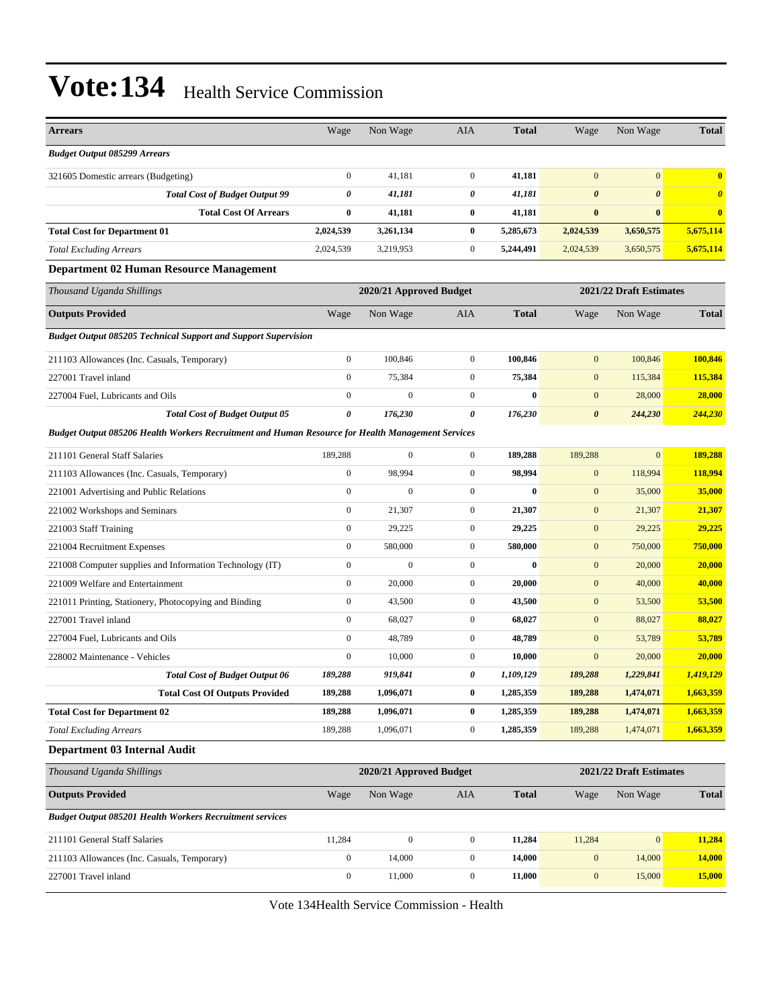| <b>Arrears</b>                                                                                    | Wage                                               | Non Wage                | <b>AIA</b>       | <b>Total</b> | Wage                  | Non Wage                | <b>Total</b>          |  |
|---------------------------------------------------------------------------------------------------|----------------------------------------------------|-------------------------|------------------|--------------|-----------------------|-------------------------|-----------------------|--|
| <b>Budget Output 085299 Arrears</b>                                                               |                                                    |                         |                  |              |                       |                         |                       |  |
| 321605 Domestic arrears (Budgeting)                                                               | $\mathbf{0}$                                       | 41,181                  | $\boldsymbol{0}$ | 41,181       | $\mathbf{0}$          | $\overline{0}$          | $\bf{0}$              |  |
| <b>Total Cost of Budget Output 99</b>                                                             | 0                                                  | 41,181                  | 0                | 41,181       | $\boldsymbol{\theta}$ | $\boldsymbol{\theta}$   | $\boldsymbol{\theta}$ |  |
| <b>Total Cost Of Arrears</b>                                                                      | $\bf{0}$                                           | 41,181                  | 0                | 41,181       | $\bf{0}$              | $\bf{0}$                | $\bf{0}$              |  |
| <b>Total Cost for Department 01</b>                                                               | 2,024,539                                          | 3,261,134               | 0                | 5,285,673    | 2,024,539             | 3,650,575               | 5,675,114             |  |
| <b>Total Excluding Arrears</b>                                                                    | 2,024,539                                          | 3,219,953               | $\boldsymbol{0}$ | 5,244,491    | 2,024,539             | 3,650,575               | 5,675,114             |  |
| <b>Department 02 Human Resource Management</b>                                                    |                                                    |                         |                  |              |                       |                         |                       |  |
| Thousand Uganda Shillings                                                                         |                                                    | 2020/21 Approved Budget |                  |              |                       | 2021/22 Draft Estimates |                       |  |
| <b>Outputs Provided</b>                                                                           | Wage                                               | Non Wage                | <b>AIA</b>       | <b>Total</b> | Wage                  | Non Wage                | <b>Total</b>          |  |
| <b>Budget Output 085205 Technical Support and Support Supervision</b>                             |                                                    |                         |                  |              |                       |                         |                       |  |
| 211103 Allowances (Inc. Casuals, Temporary)                                                       | $\mathbf{0}$                                       | 100,846                 | $\boldsymbol{0}$ | 100,846      | $\mathbf{0}$          | 100,846                 | 100,846               |  |
| 227001 Travel inland                                                                              | $\mathbf{0}$                                       | 75,384                  | $\boldsymbol{0}$ | 75,384       | $\mathbf{0}$          | 115,384                 | 115,384               |  |
| 227004 Fuel, Lubricants and Oils                                                                  | $\boldsymbol{0}$                                   | $\overline{0}$          | $\boldsymbol{0}$ | $\bf{0}$     | $\mathbf{0}$          | 28,000                  | 28,000                |  |
| <b>Total Cost of Budget Output 05</b>                                                             | 0                                                  | 176,230                 | 0                | 176,230      | $\boldsymbol{\theta}$ | 244,230                 | 244,230               |  |
| Budget Output 085206 Health Workers Recruitment and Human Resource for Health Management Services |                                                    |                         |                  |              |                       |                         |                       |  |
| 211101 General Staff Salaries                                                                     | 189,288                                            | $\boldsymbol{0}$        | $\mathbf{0}$     | 189,288      | 189,288               | $\mathbf{0}$            | 189,288               |  |
| 211103 Allowances (Inc. Casuals, Temporary)                                                       | $\mathbf{0}$                                       | 98,994                  | $\overline{0}$   | 98,994       | $\mathbf{0}$          | 118,994                 | 118,994               |  |
| 221001 Advertising and Public Relations                                                           | $\mathbf{0}$                                       | $\mathbf{0}$            | $\boldsymbol{0}$ | $\bf{0}$     | $\mathbf{0}$          | 35,000                  | 35,000                |  |
| 221002 Workshops and Seminars                                                                     | $\boldsymbol{0}$                                   | 21,307                  | $\boldsymbol{0}$ | 21,307       | $\mathbf{0}$          | 21,307                  | 21,307                |  |
| 221003 Staff Training                                                                             | $\boldsymbol{0}$                                   | 29,225                  | $\mathbf{0}$     | 29,225       | $\mathbf{0}$          | 29,225                  | 29,225                |  |
| 221004 Recruitment Expenses                                                                       | $\boldsymbol{0}$                                   | 580,000                 | $\boldsymbol{0}$ | 580,000      | $\mathbf{0}$          | 750,000                 | 750,000               |  |
| 221008 Computer supplies and Information Technology (IT)                                          | $\mathbf{0}$                                       | $\overline{0}$          | $\overline{0}$   | $\bf{0}$     | $\mathbf{0}$          | 20,000                  | 20,000                |  |
| 221009 Welfare and Entertainment                                                                  | $\mathbf{0}$                                       | 20,000                  | $\boldsymbol{0}$ | 20,000       | $\mathbf{0}$          | 40,000                  | 40,000                |  |
| 221011 Printing, Stationery, Photocopying and Binding                                             | $\boldsymbol{0}$                                   | 43,500                  | $\boldsymbol{0}$ | 43,500       | $\mathbf{0}$          | 53,500                  | 53,500                |  |
| 227001 Travel inland                                                                              | $\boldsymbol{0}$                                   | 68,027                  | $\mathbf{0}$     | 68,027       | $\mathbf{0}$          | 88,027                  | 88,027                |  |
| 227004 Fuel, Lubricants and Oils                                                                  | $\boldsymbol{0}$                                   | 48,789                  | $\boldsymbol{0}$ | 48,789       | $\mathbf{0}$          | 53,789                  | 53,789                |  |
| 228002 Maintenance - Vehicles                                                                     | $\mathbf{0}$                                       | 10,000                  | $\boldsymbol{0}$ | 10,000       | $\mathbf{0}$          | 20,000                  | 20,000                |  |
| <b>Total Cost of Budget Output 06</b>                                                             | 189,288                                            | 919,841                 | 0                | 1,109,129    | 189,288               | 1,229,841               | 1,419,129             |  |
| <b>Total Cost Of Outputs Provided</b>                                                             | 189,288                                            | 1,096,071               | $\bf{0}$         | 1,285,359    | 189,288               | 1,474,071               | 1,663,359             |  |
| <b>Total Cost for Department 02</b>                                                               | 189,288                                            | 1,096,071               | 0                | 1,285,359    | 189,288               | 1,474,071               | 1,663,359             |  |
| <b>Total Excluding Arrears</b>                                                                    | 189,288                                            | 1,096,071               | $\boldsymbol{0}$ | 1,285,359    | 189,288               | 1,474,071               | 1,663,359             |  |
| Department 03 Internal Audit                                                                      |                                                    |                         |                  |              |                       |                         |                       |  |
| Thousand Uganda Shillings                                                                         | 2020/21 Approved Budget<br>2021/22 Draft Estimates |                         |                  |              |                       |                         |                       |  |
| <b>Outputs Provided</b>                                                                           | Wage                                               | Non Wage                | AIA              | <b>Total</b> | Wage                  | Non Wage                | <b>Total</b>          |  |
| <b>Budget Output 085201 Health Workers Recruitment services</b>                                   |                                                    |                         |                  |              |                       |                         |                       |  |
| 211101 General Staff Salaries                                                                     | 11,284                                             | $\boldsymbol{0}$        | $\boldsymbol{0}$ | 11,284       | 11,284                | $\mathbf{0}$            | 11,284                |  |
| 211103 Allowances (Inc. Casuals, Temporary)                                                       | $\boldsymbol{0}$                                   | 14,000                  | $\boldsymbol{0}$ | 14,000       | $\boldsymbol{0}$      | 14,000                  | <b>14,000</b>         |  |
| 227001 Travel inland                                                                              | $\boldsymbol{0}$                                   | 11,000                  | $\boldsymbol{0}$ | 11,000       | $\boldsymbol{0}$      | 15,000                  | 15,000                |  |

Vote 134Health Service Commission - Health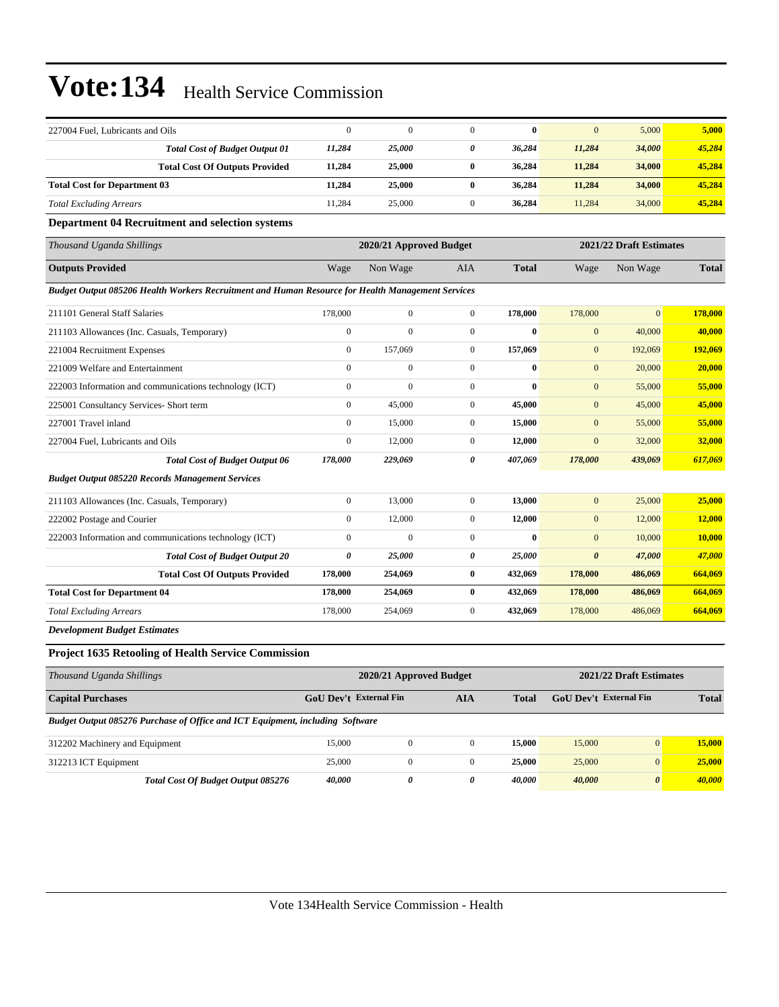| 227004 Fuel, Lubricants and Oils                                                                  |                                                                               | $\boldsymbol{0}$                                   | $\mathbf{0}$     | $\mathbf{0}$          | $\bf{0}$     | $\mathbf{0}$           | 5,000            | 5,000         |  |  |
|---------------------------------------------------------------------------------------------------|-------------------------------------------------------------------------------|----------------------------------------------------|------------------|-----------------------|--------------|------------------------|------------------|---------------|--|--|
|                                                                                                   | <b>Total Cost of Budget Output 01</b>                                         | 11,284                                             | 25,000           | $\boldsymbol{\theta}$ | 36,284       | 11,284                 | 34,000           | 45,284        |  |  |
|                                                                                                   | <b>Total Cost Of Outputs Provided</b>                                         | 11,284                                             | 25,000           | $\bf{0}$              | 36,284       | 11,284                 | 34,000           | 45,284        |  |  |
| <b>Total Cost for Department 03</b>                                                               |                                                                               | 11,284                                             | 25,000           | $\bf{0}$              | 36,284       | 11,284                 | 34,000           | 45,284        |  |  |
| <b>Total Excluding Arrears</b>                                                                    |                                                                               | 11,284                                             | 25,000           | $\mathbf{0}$          | 36,284       | 11,284                 | 34,000           | 45,284        |  |  |
|                                                                                                   | <b>Department 04 Recruitment and selection systems</b>                        |                                                    |                  |                       |              |                        |                  |               |  |  |
| Thousand Uganda Shillings                                                                         |                                                                               | 2020/21 Approved Budget<br>2021/22 Draft Estimates |                  |                       |              |                        |                  |               |  |  |
| <b>Outputs Provided</b>                                                                           |                                                                               | Wage                                               | Non Wage         | AIA                   | <b>Total</b> | Wage                   | Non Wage         | <b>Total</b>  |  |  |
| Budget Output 085206 Health Workers Recruitment and Human Resource for Health Management Services |                                                                               |                                                    |                  |                       |              |                        |                  |               |  |  |
| 211101 General Staff Salaries                                                                     |                                                                               | 178,000                                            | $\mathbf{0}$     | $\boldsymbol{0}$      | 178,000      | 178,000                | $\mathbf{0}$     | 178,000       |  |  |
| 211103 Allowances (Inc. Casuals, Temporary)                                                       |                                                                               | $\boldsymbol{0}$                                   | $\mathbf{0}$     | $\mathbf{0}$          | $\bf{0}$     | $\boldsymbol{0}$       | 40,000           | 40,000        |  |  |
| 221004 Recruitment Expenses                                                                       |                                                                               | $\boldsymbol{0}$                                   | 157,069          | $\mathbf{0}$          | 157,069      | $\mathbf{0}$           | 192,069          | 192,069       |  |  |
| 221009 Welfare and Entertainment                                                                  |                                                                               | $\boldsymbol{0}$                                   | $\mathbf{0}$     | $\boldsymbol{0}$      | $\bf{0}$     | $\boldsymbol{0}$       | 20,000           | 20,000        |  |  |
|                                                                                                   | 222003 Information and communications technology (ICT)                        | $\boldsymbol{0}$                                   | $\overline{0}$   | $\boldsymbol{0}$      | $\bf{0}$     | $\mathbf{0}$           | 55,000           | 55,000        |  |  |
| 225001 Consultancy Services- Short term                                                           |                                                                               | $\boldsymbol{0}$                                   | 45,000           | $\mathbf{0}$          | 45,000       | $\mathbf{0}$           | 45,000           | 45,000        |  |  |
| 227001 Travel inland                                                                              |                                                                               | $\boldsymbol{0}$                                   | 15,000           | $\mathbf{0}$          | 15,000       | $\boldsymbol{0}$       | 55,000           | 55,000        |  |  |
| 227004 Fuel, Lubricants and Oils                                                                  |                                                                               | $\boldsymbol{0}$                                   | 12,000           | $\mathbf{0}$          | 12,000       | $\boldsymbol{0}$       | 32,000           | 32,000        |  |  |
|                                                                                                   | <b>Total Cost of Budget Output 06</b>                                         | 178,000                                            | 229,069          | 0                     | 407,069      | 178,000                | 439,069          | 617,069       |  |  |
|                                                                                                   | <b>Budget Output 085220 Records Management Services</b>                       |                                                    |                  |                       |              |                        |                  |               |  |  |
| 211103 Allowances (Inc. Casuals, Temporary)                                                       |                                                                               | $\boldsymbol{0}$                                   | 13,000           | $\mathbf{0}$          | 13,000       | $\mathbf{0}$           | 25,000           | 25,000        |  |  |
| 222002 Postage and Courier                                                                        |                                                                               | $\boldsymbol{0}$                                   | 12,000           | $\mathbf{0}$          | 12,000       | $\mathbf{0}$           | 12,000           | 12,000        |  |  |
|                                                                                                   | 222003 Information and communications technology (ICT)                        | $\boldsymbol{0}$                                   | $\mathbf{0}$     | $\mathbf{0}$          | $\bf{0}$     | $\mathbf{0}$           | 10,000           | <b>10,000</b> |  |  |
|                                                                                                   | <b>Total Cost of Budget Output 20</b>                                         | 0                                                  | 25,000           | 0                     | 25,000       | $\boldsymbol{\theta}$  | 47,000           | 47,000        |  |  |
|                                                                                                   | <b>Total Cost Of Outputs Provided</b>                                         | 178,000                                            | 254,069          | $\bf{0}$              | 432,069      | 178,000                | 486,069          | 664,069       |  |  |
| <b>Total Cost for Department 04</b>                                                               |                                                                               | 178,000                                            | 254,069          | $\bf{0}$              | 432,069      | 178,000                | 486,069          | 664,069       |  |  |
| <b>Total Excluding Arrears</b>                                                                    |                                                                               | 178,000                                            | 254,069          | $\mathbf{0}$          | 432,069      | 178,000                | 486,069          | 664,069       |  |  |
| <b>Development Budget Estimates</b>                                                               |                                                                               |                                                    |                  |                       |              |                        |                  |               |  |  |
|                                                                                                   | <b>Project 1635 Retooling of Health Service Commission</b>                    |                                                    |                  |                       |              |                        |                  |               |  |  |
| Thousand Uganda Shillings                                                                         |                                                                               | 2021/22 Draft Estimates<br>2020/21 Approved Budget |                  |                       |              |                        |                  |               |  |  |
| <b>Capital Purchases</b>                                                                          |                                                                               | <b>GoU Dev't External Fin</b><br><b>AIA</b>        |                  |                       | <b>Total</b> | GoU Dev't External Fin |                  | <b>Total</b>  |  |  |
|                                                                                                   | Budget Output 085276 Purchase of Office and ICT Equipment, including Software |                                                    |                  |                       |              |                        |                  |               |  |  |
| 312202 Machinery and Equipment                                                                    |                                                                               | 15,000                                             | $\boldsymbol{0}$ | $\mathbf{0}$          | 15,000       | 15,000                 | $\boldsymbol{0}$ | 15,000        |  |  |
| 312213 ICT Equipment                                                                              |                                                                               | 25,000                                             | $\boldsymbol{0}$ | $\boldsymbol{0}$      | 25,000       | 25,000                 | $\mathbf{0}$     | 25,000        |  |  |
|                                                                                                   | Total Cost Of Budget Output 085276                                            | 40,000                                             | 0                | 0                     | 40,000       | 40,000                 | 0                | 40,000        |  |  |